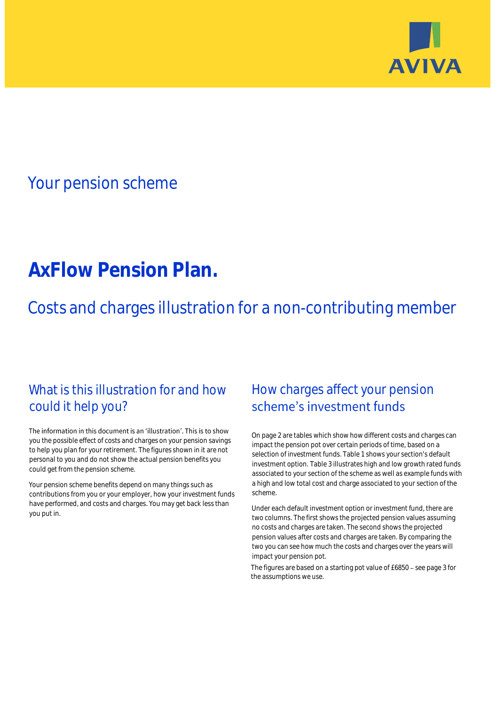

## Your pension scheme

# **AxFlow Pension Plan.**

Costs and charges illustration for a non-contributing member

### What is this illustration for and how could it help you?

#### The information in this document is an 'illustration'. This is to show you the possible effect of costs and charges on your pension savings to help you plan for your retirement. The figures shown in it are not personal to you and do not show the actual pension benefits you could get from the pension scheme.

Your pension scheme benefits depend on many things such as contributions from you or your employer, how your investment funds have performed, and costs and charges. You may get back less than you put in.

### How charges affect your pension scheme's investment funds

On page 2 are tables which show how different costs and charges can impact the pension pot over certain periods of time, based on a selection of investment funds. Table 1 shows your section's default investment option. Table 3 illustrates high and low growth rated funds associated to your section of the scheme as well as example funds with a high and low total cost and charge associated to your section of the scheme.

Under each default investment option or investment fund, there are two columns. The first shows the projected pension values assuming no costs and charges are taken. The second shows the projected pension values after costs and charges are taken. By comparing the two you can see how much the costs and charges over the years will impact your pension pot.

The figures are based on a starting pot value of  $£6850 -$  see page 3 for the assumptions we use.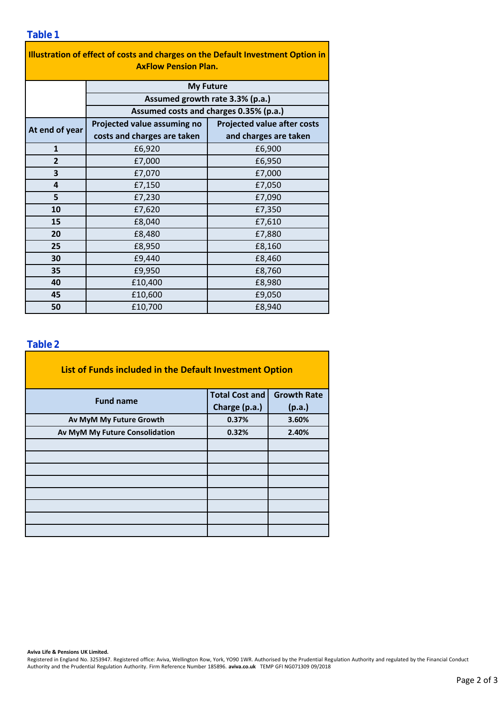| Illustration of effect of costs and charges on the Default Investment Option in<br><b>AxFlow Pension Plan.</b> |                                        |                                    |  |  |  |  |  |
|----------------------------------------------------------------------------------------------------------------|----------------------------------------|------------------------------------|--|--|--|--|--|
|                                                                                                                | <b>My Future</b>                       |                                    |  |  |  |  |  |
|                                                                                                                | Assumed growth rate 3.3% (p.a.)        |                                    |  |  |  |  |  |
|                                                                                                                | Assumed costs and charges 0.35% (p.a.) |                                    |  |  |  |  |  |
| At end of year                                                                                                 | Projected value assuming no            | <b>Projected value after costs</b> |  |  |  |  |  |
|                                                                                                                | costs and charges are taken            | and charges are taken              |  |  |  |  |  |
| $\mathbf{1}$                                                                                                   | £6,920                                 | £6,900                             |  |  |  |  |  |
| $\overline{2}$                                                                                                 | £7,000                                 | £6,950                             |  |  |  |  |  |
| 3                                                                                                              | £7,070                                 | £7,000                             |  |  |  |  |  |
| 4                                                                                                              | £7,150                                 | £7,050                             |  |  |  |  |  |
| 5                                                                                                              | £7,230                                 | £7,090                             |  |  |  |  |  |
| 10                                                                                                             | £7,620                                 | £7,350                             |  |  |  |  |  |
| 15                                                                                                             | £8,040                                 | £7,610                             |  |  |  |  |  |
| 20                                                                                                             | £8,480                                 | £7,880                             |  |  |  |  |  |
| 25                                                                                                             | £8,950                                 | £8,160                             |  |  |  |  |  |
| 30                                                                                                             | £9,440                                 | £8,460                             |  |  |  |  |  |
| 35                                                                                                             | £9,950                                 | £8,760                             |  |  |  |  |  |
| 40                                                                                                             | £10,400                                | £8,980                             |  |  |  |  |  |
| 45                                                                                                             | £10,600                                | £9,050                             |  |  |  |  |  |
| 50                                                                                                             | £10,700                                | £8,940                             |  |  |  |  |  |

### **Table 2**

| List of Funds included in the Default Investment Option |                       |                    |
|---------------------------------------------------------|-----------------------|--------------------|
| <b>Fund name</b>                                        | <b>Total Cost and</b> | <b>Growth Rate</b> |
|                                                         | Charge (p.a.)         | (p.a.)             |
| Av MyM My Future Growth                                 | 0.37%                 | 3.60%              |
| Av MyM My Future Consolidation                          | 0.32%                 | 2.40%              |
|                                                         |                       |                    |
|                                                         |                       |                    |
|                                                         |                       |                    |
|                                                         |                       |                    |
|                                                         |                       |                    |
|                                                         |                       |                    |
|                                                         |                       |                    |
|                                                         |                       |                    |

<u> 1980 - Johann Barbara, martx</u>

**Aviva Life & Pensions UK Limited.**

Registered in England No. 3253947. Registered office: Aviva, Wellington Row, York, YO90 1WR. Authorised by the Prudential Regulation Authority and regulated by the Financial Conduct Authority and the Prudential Regulation Authority. Firm Reference Number 185896. **aviva.co.uk** TEMP GFI NG071309 09/2018